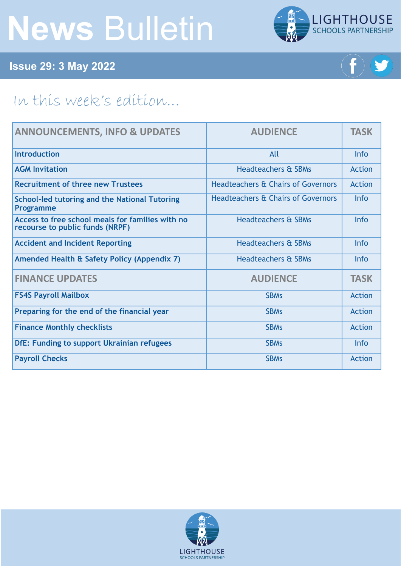# **News** Bulletin



**Issue 29: 3 May 2022**



# In this week's edition...

| <b>ANNOUNCEMENTS, INFO &amp; UPDATES</b>                                            | <b>AUDIENCE</b>                               | <b>TASK</b>   |
|-------------------------------------------------------------------------------------|-----------------------------------------------|---------------|
| <b>Introduction</b>                                                                 | All                                           | <b>Info</b>   |
| <b>AGM Invitation</b>                                                               | <b>Headteachers &amp; SBMs</b>                | Action        |
| <b>Recruitment of three new Trustees</b>                                            | <b>Headteachers &amp; Chairs of Governors</b> | Action        |
| <b>School-led tutoring and the National Tutoring</b><br><b>Programme</b>            | <b>Headteachers &amp; Chairs of Governors</b> | Info          |
| Access to free school meals for families with no<br>recourse to public funds (NRPF) | <b>Headteachers &amp; SBMs</b>                | <b>Info</b>   |
| <b>Accident and Incident Reporting</b>                                              | <b>Headteachers &amp; SBMs</b>                | <b>Info</b>   |
| Amended Health & Safety Policy (Appendix 7)                                         | <b>Headteachers &amp; SBMs</b>                | <b>Info</b>   |
| <b>FINANCE UPDATES</b>                                                              | <b>AUDIENCE</b>                               | <b>TASK</b>   |
| <b>FS4S Payroll Mailbox</b>                                                         | <b>SBMs</b>                                   | Action        |
| Preparing for the end of the financial year                                         | <b>SBMs</b>                                   | <b>Action</b> |
| <b>Finance Monthly checklists</b>                                                   | <b>SBMs</b>                                   | Action        |
| DfE: Funding to support Ukrainian refugees                                          | <b>SBMs</b>                                   | Info          |
| <b>Payroll Checks</b>                                                               | <b>SBMs</b>                                   | Action        |

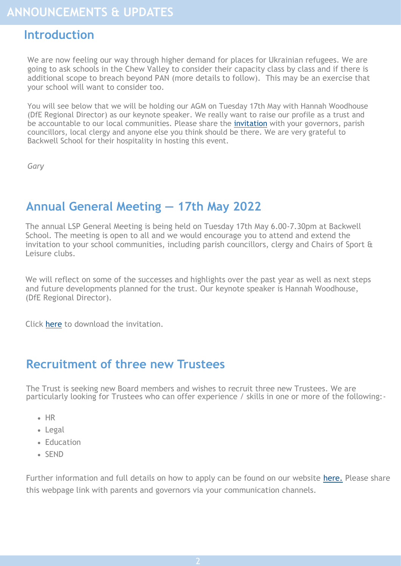#### <span id="page-1-0"></span>**Introduction**

We are now feeling our way through higher demand for places for Ukrainian refugees. We are going to ask schools in the Chew Valley to consider their capacity class by class and if there is additional scope to breach beyond PAN (more details to follow). This may be an exercise that your school will want to consider too.

You will see below that we will be holding our AGM on Tuesday 17th May with Hannah Woodhouse (DfE Regional Director) as our keynote speaker. We really want to raise our profile as a trust and be accountable to our local communities. Please share the [invitation](https://foldr.lsp.org.uk/public/W72RP) with your governors, parish councillors, local clergy and anyone else you think should be there. We are very grateful to Backwell School for their hospitality in hosting this event.

*Gary*

### **Annual General Meeting — 17th May 2022**

The annual LSP General Meeting is being held on Tuesday 17th May 6.00-7.30pm at Backwell School. The meeting is open to all and we would encourage you to attend and extend the invitation to your school communities, including parish councillors, clergy and Chairs of Sport & Leisure clubs.

We will reflect on some of the successes and highlights over the past year as well as next steps and future developments planned for the trust. Our keynote speaker is Hannah Woodhouse, (DfE Regional Director).

Click [here](https://foldr.lsp.org.uk/public/W72RP) to download the invitation.

#### **Recruitment of three new Trustees**

The Trust is seeking new Board members and wishes to recruit three new Trustees. We are particularly looking for Trustees who can offer experience / skills in one or more of the following:-

- HR
- Legal
- Education
- SEND

Further information and full details on how to apply can be found on our website [here.](https://www.lsp.org.uk/couldyoubeatrustee) Please share this webpage link with parents and governors via your communication channels.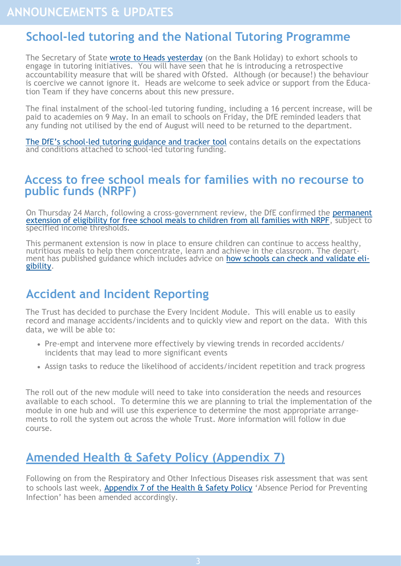#### <span id="page-2-0"></span>**School-led tutoring and the National Tutoring Programme**

The Secretary of State [wrote to Heads yesterday](https://foldr.lsp.org.uk/public/P17EP) (on the Bank Holiday) to exhort schools to engage in tutoring initiatives. You will have seen that he is introducing a retrospective accountability measure that will be shared with Ofsted. Although (or because!) the behaviour is coercive we cannot ignore it. Heads are welcome to seek advice or support from the Education Team if they have concerns about this new pressure.

The final instalment of the school-led tutoring funding, including a 16 percent increase, will be paid to academies on 9 May. In an email to schools on Friday, the DfE reminded leaders that any funding not utilised by the end of August will need to be returned to the department.

The DfE's school-[led tutoring guidance and tracker tool](https://www.gov.uk/government/publications/school-led-tutoring-conditions-of-grant?utm_medium=email&utm_campaign=govuk-notifications-topic&utm_source=4376d0cd-1d3e-4087-8932-2793fa8933b6&utm_content=immediately) contains details on the expectations and conditions attached to school-led tutoring funding.

#### **Access to free school meals for families with no recourse to public funds (NRPF)**

On Thursday 24 March, following a cross-government review, the DfE confirmed the [permanent](https://questions-statements.parliament.uk/written-statements/detail/2022-03-24/hcws714?utm_source=26%20April%202022%20C19&utm_medium=Daily%20Email%20C19&utm_campaign=DfE%20C19)  [extension of eligibility for free school meals to children from all families with NRPF,](https://questions-statements.parliament.uk/written-statements/detail/2022-03-24/hcws714?utm_source=26%20April%202022%20C19&utm_medium=Daily%20Email%20C19&utm_campaign=DfE%20C19) subject to specified income thresholds.

This permanent extension is now in place to ensure children can continue to access healthy, nutritious meals to help them concentrate, learn and achieve in the classroom. The department has published guidance which includes advice on [how schools can check and validate eli](https://www.gov.uk/government/publications/free-school-meals-guidance-for-schools-and-local-authorities?utm_source=26%20April%202022%20C19&utm_medium=Daily%20Email%20C19&utm_campaign=DfE%20C19)[gibility.](https://www.gov.uk/government/publications/free-school-meals-guidance-for-schools-and-local-authorities?utm_source=26%20April%202022%20C19&utm_medium=Daily%20Email%20C19&utm_campaign=DfE%20C19)

#### **Accident and Incident Reporting**

The Trust has decided to purchase the Every Incident Module. This will enable us to easily record and manage accidents/incidents and to quickly view and report on the data. With this data, we will be able to:

- Pre-empt and intervene more effectively by viewing trends in recorded accidents/ incidents that may lead to more significant events
- Assign tasks to reduce the likelihood of accidents/incident repetition and track progress

The roll out of the new module will need to take into consideration the needs and resources available to each school. To determine this we are planning to trial the implementation of the module in one hub and will use this experience to determine the most appropriate arrangements to roll the system out across the whole Trust. More information will follow in due course.

# **Amended Health & Safety Policy (Appendix 7)**

Following on from the Respiratory and Other Infectious Diseases risk assessment that was sent to schools last week, [Appendix 7 of the Health & Safety Policy](https://foldr.lsp.org.uk/public/N48RW) 'Absence Period for Preventing Infection' has been amended accordingly.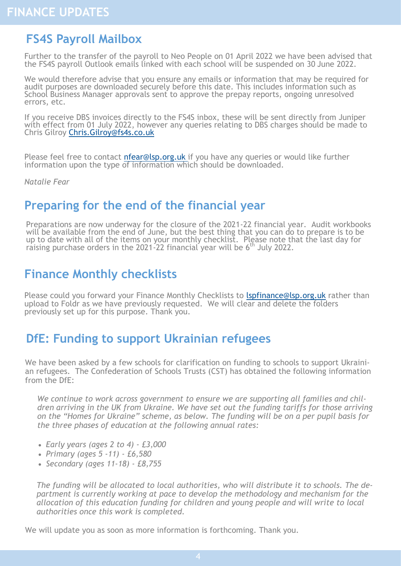#### <span id="page-3-0"></span>**FS4S Payroll Mailbox**

Further to the transfer of the payroll to Neo People on 01 April 2022 we have been advised that the FS4S payroll Outlook emails linked with each school will be suspended on 30 June 2022.

We would therefore advise that you ensure any emails or information that may be required for audit purposes are downloaded securely before this date. This includes information such as School Business Manager approvals sent to approve the prepay reports, ongoing unresolved errors, etc.

If you receive DBS invoices directly to the FS4S inbox, these will be sent directly from Juniper with effect from 01 July 2022, however any queries relating to DBS charges should be made to Chris Gilroy [Chris.Gilroy@fs4s.co.uk](mailto:Chris.Gilroy@fs4s.co.uk)

Please feel free to contact nfear@lsp.org.uk if you have any queries or would like further information upon the type of information which should be downloaded.

*Natalie Fear*

#### **Preparing for the end of the financial year**

Preparations are now underway for the closure of the 2021-22 financial year. Audit workbooks will be available from the end of June, but the best thing that you can do to prepare is to be up to date with all of the items on your monthly checklist. Please note that the last day for raising purchase orders in the 2021-22 financial year will be  $6<sup>th</sup>$  July 2022.

# **Finance Monthly checklists**

Please could you forward your Finance Monthly Checklists to [lspfinance@lsp.org.uk](mailto:lspfinance@lsp.org.uk) rather than upload to Foldr as we have previously requested. We will clear and delete the folders previously set up for this purpose. Thank you.

#### **DfE: Funding to support Ukrainian refugees**

We have been asked by a few schools for clarification on funding to schools to support Ukrainian refugees. The Confederation of Schools Trusts (CST) has obtained the following information from the DfE:

*We continue to work across government to ensure we are supporting all families and children arriving in the UK from Ukraine. We have set out the funding tariffs for those arriving on the "Homes for Ukraine" scheme, as below. The funding will be on a per pupil basis for the three phases of education at the following annual rates:*

- *Early years (ages 2 to 4) - £3,000*
- *Primary (ages 5 -11) - £6,580*
- *Secondary (ages 11-18) - £8,755*

*The funding will be allocated to local authorities, who will distribute it to schools. The department is currently working at pace to develop the methodology and mechanism for the allocation of this education funding for children and young people and will write to local authorities once this work is completed.* 

We will update you as soon as more information is forthcoming. Thank you.